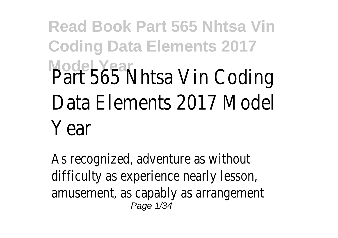# **Read Book Part 565 Nhtsa Vin Coding Data Elements 2017 Model Year** Part 565 Nhtsa Vin Coding Data Elements 2017 Model Year

As recognized, adventure as without difficulty as experience nearly lesson, amusement, as capably as arrangement Page 1/34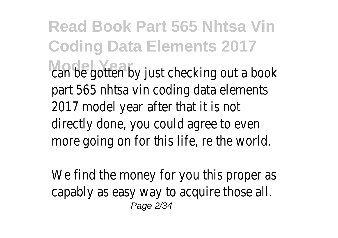**Read Book Part 565 Nhtsa Vin Coding Data Elements 2017** can be gotten by just checking out a book part 565 nhtsa vin coding data elements 2017 model year after that it is not directly done, you could agree to even more going on for this life, re the world.

We find the money for you this proper as capably as easy way to acquire those all. Page 2/34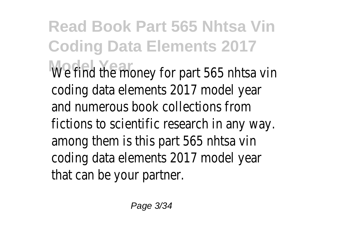**Read Book Part 565 Nhtsa Vin Coding Data Elements 2017** We find the money for part 565 nhtsa vin coding data elements 2017 model year and numerous book collections from fictions to scientific research in any way. among them is this part 565 nhtsa vin coding data elements 2017 model year that can be your partner.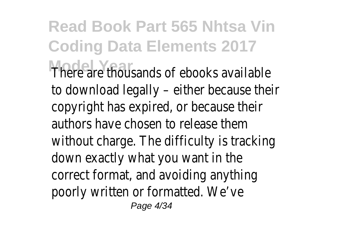**Read Book Part 565 Nhtsa Vin Coding Data Elements 2017** There are thousands of ebooks available to download legally – either because their copyright has expired, or because their authors have chosen to release them without charge. The difficulty is tracking down exactly what you want in the correct format, and avoiding anything poorly written or formatted. We've Page 4/34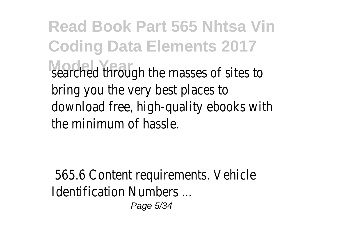**Read Book Part 565 Nhtsa Vin Coding Data Elements 2017** searched through the masses of sites to bring you the very best places to download free, high-quality ebooks with the minimum of hassle.

565.6 Content requirements. Vehicle Identification Numbers ...

Page 5/34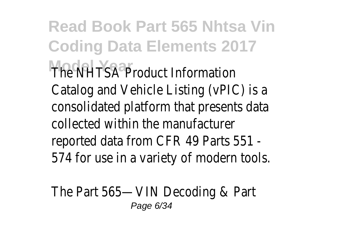**Read Book Part 565 Nhtsa Vin Coding Data Elements 2017 The NHTSA Product Information** Catalog and Vehicle Listing (vPIC) is a consolidated platform that presents data collected within the manufacturer reported data from CFR 49 Parts 551 - 574 for use in a variety of modern tools.

The Part 565—VIN Decoding & Part Page 6/34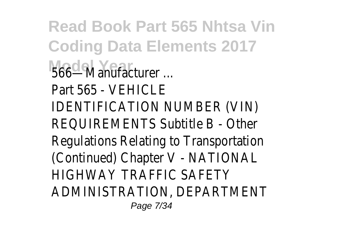**Read Book Part 565 Nhtsa Vin Coding Data Elements 2017 Model Year** 566—Manufacturer ... Part 565 - VEHICLE IDENTIFICATION NUMBER (VIN) REQUIREMENTS Subtitle B - Other Regulations Relating to Transportation (Continued) Chapter V - NATIONAL HIGHWAY TRAFFIC SAFETY ADMINISTRATION, DEPARTMENT Page 7/34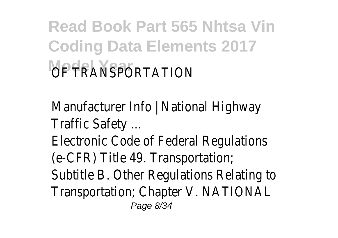# **Read Book Part 565 Nhtsa Vin Coding Data Elements 2017** *OF TRANSPORTATION*

Manufacturer Info | National Highway Traffic Safety ... Electronic Code of Federal Regulations (e-CFR) Title 49. Transportation; Subtitle B. Other Regulations Relating to Transportation; Chapter V. NATIONAL Page 8/34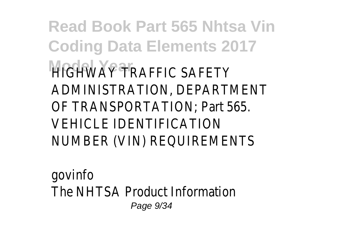**Read Book Part 565 Nhtsa Vin Coding Data Elements 2017 HIGHWAY TRAFFIC SAFETY** ADMINISTRATION, DEPARTMENT OF TRANSPORTATION; Part 565. VEHICLE IDENTIFICATION NUMBER (VIN) REQUIREMENTS

govinfo The NHTSA Product Information Page 9/34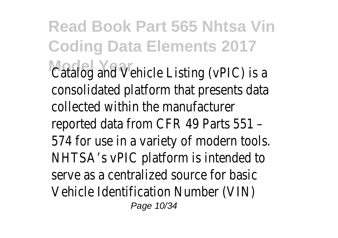**Read Book Part 565 Nhtsa Vin Coding Data Elements 2017** Catalog and Vehicle Listing (vPIC) is a consolidated platform that presents data collected within the manufacturer reported data from CFR 49 Parts 551 – 574 for use in a variety of modern tools. NHTSA's vPIC platform is intended to serve as a centralized source for basic Vehicle Identification Number (VIN) Page 10/34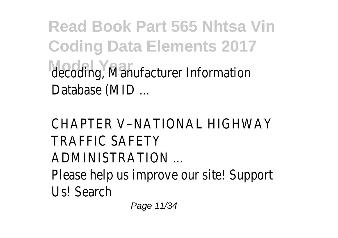### **Read Book Part 565 Nhtsa Vin Coding Data Elements 2017 Model Year** decoding, Manufacturer Information Database (MID ...

#### CHAPTER V–NATIONAL HIGHWAY TRAFFIC SAFETY ADMINISTRATION ... Please help us improve our site! Support Us! Search

Page 11/34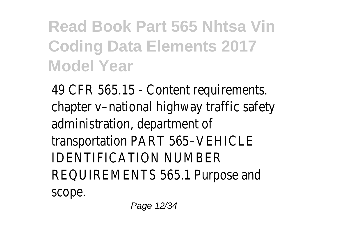#### **Read Book Part 565 Nhtsa Vin Coding Data Elements 2017 Model Year**

49 CFR 565.15 - Content requirements. chapter v–national highway traffic safety administration, department of transportation PART 565–VEHICLE IDENTIFICATION NUMBER REQUIREMENTS 565.1 Purpose and scope.

Page 12/34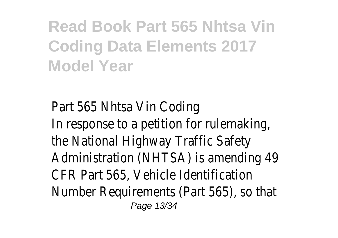#### **Read Book Part 565 Nhtsa Vin Coding Data Elements 2017 Model Year**

Part 565 Nhtsa Vin Coding In response to a petition for rulemaking, the National Highway Traffic Safety Administration (NHTSA) is amending 49 CFR Part 565, Vehicle Identification Number Requirements (Part 565), so that Page 13/34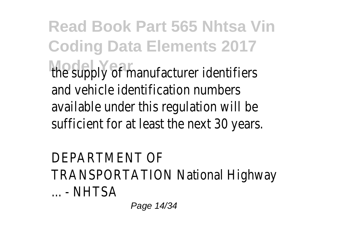**Read Book Part 565 Nhtsa Vin Coding Data Elements 2017** the supply of manufacturer identifiers and vehicle identification numbers available under this regulation will be sufficient for at least the next 30 years.

DEPARTMENT OF TRANSPORTATION National Highway ... - NHTSA

Page 14/34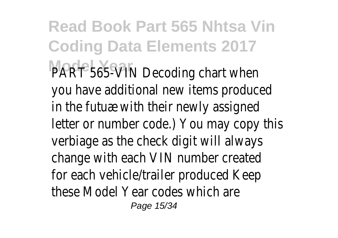**Read Book Part 565 Nhtsa Vin Coding Data Elements 2017** PART 565-VIN Decoding chart when you have additional new items produced in the futuæ with their newly assigned letter or number code.) You may copy this verbiage as the check digit will always change with each VIN number created for each vehicle/trailer produced Keep these Model Year codes which are Page 15/34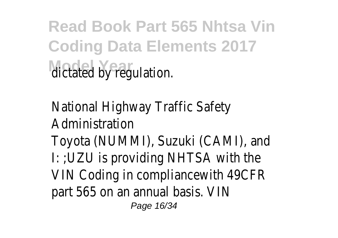**Read Book Part 565 Nhtsa Vin Coding Data Elements 2017 dictated by regulation.** 

National Highway Traffic Safety Administration Toyota (NUMMI), Suzuki (CAMI), and I: ;UZU is providing NHTSA with the VIN Coding in compliancewith 49CFR part 565 on an annual basis. VIN

Page 16/34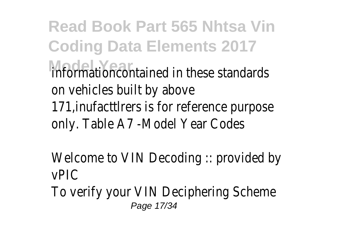**Read Book Part 565 Nhtsa Vin Coding Data Elements 2017 Model Year** informationcontained in these standards on vehicles built by above 171,inufacttlrers is for reference purpose only. Table A7 -Model Year Codes

Welcome to VIN Decoding :: provided by vPIC To verify your VIN Deciphering Scheme Page 17/34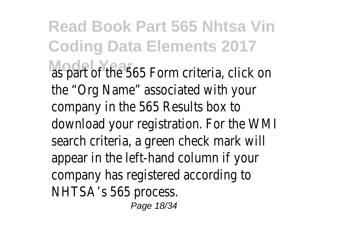**Read Book Part 565 Nhtsa Vin Coding Data Elements 2017** as part of the 565 Form criteria, click on the "Org Name" associated with your company in the 565 Results box to download your registration. For the WMI search criteria, a green check mark will appear in the left-hand column if your company has registered according to NHTSA's 565 process.

Page 18/34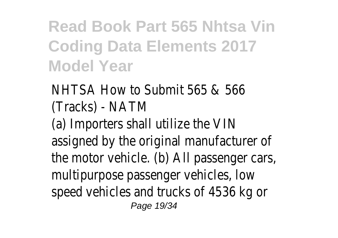**Read Book Part 565 Nhtsa Vin Coding Data Elements 2017 Model Year**

NHTSA How to Submit 565 & 566 (Tracks) - NATM (a) Importers shall utilize the VIN assigned by the original manufacturer of the motor vehicle. (b) All passenger cars, multipurpose passenger vehicles, low speed vehicles and trucks of 4536 kg or Page 19/34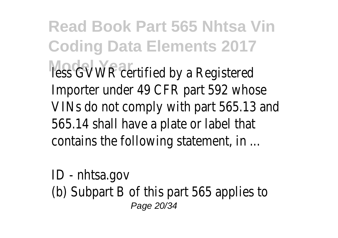**Read Book Part 565 Nhtsa Vin Coding Data Elements 2017** less GWWR certified by a Registered Importer under 49 CFR part 592 whose VINs do not comply with part 565.13 and 565.14 shall have a plate or label that contains the following statement, in ...

ID - nhtsa.gov (b) Subpart B of this part 565 applies to Page 20/34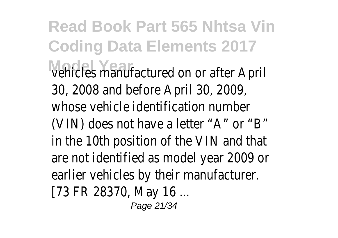**Read Book Part 565 Nhtsa Vin Coding Data Elements 2017 Model Year** vehicles manufactured on or after April 30, 2008 and before April 30, 2009, whose vehicle identification number (VIN) does not have a letter "A" or "B" in the 10th position of the VIN and that are not identified as model year 2009 or earlier vehicles by their manufacturer. [73 FR 28370, May 16 ...

Page 21/34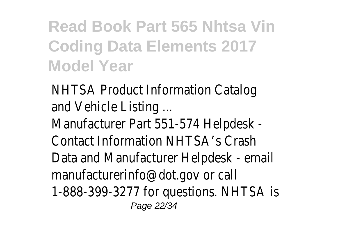#### **Read Book Part 565 Nhtsa Vin Coding Data Elements 2017 Model Year**

NHTSA Product Information Catalog and Vehicle Listing ... Manufacturer Part 551-574 Helpdesk - Contact Information NHTSA's Crash Data and Manufacturer Helpdesk - email manufacturerinfo@dot.gov or call 1-888-399-3277 for questions. NHTSA is Page 22/34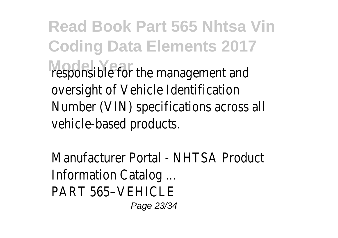**Read Book Part 565 Nhtsa Vin Coding Data Elements 2017** responsible for the management and oversight of Vehicle Identification Number (VIN) specifications across all vehicle-based products.

Manufacturer Portal - NHTSA Product Information Catalog ... PART 565-VEHICLE

Page 23/34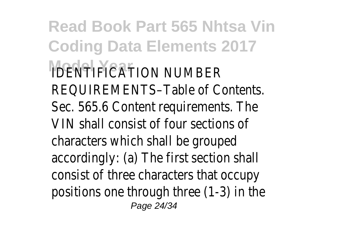**Read Book Part 565 Nhtsa Vin Coding Data Elements 2017 IDENTIFICATION NUMBER** REQUIREMENTS–Table of Contents. Sec. 565.6 Content requirements. The VIN shall consist of four sections of characters which shall be grouped accordingly: (a) The first section shall consist of three characters that occupy positions one through three (1-3) in the Page 24/34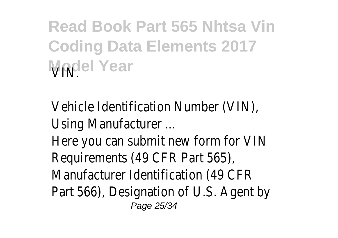**Read Book Part 565 Nhtsa Vin Coding Data Elements 2017 Model Year** 

Vehicle Identification Number (VIN), Using Manufacturer ... Here you can submit new form for VIN Requirements (49 CFR Part 565), Manufacturer Identification (49 CFR Part 566), Designation of U.S. Agent by Page 25/34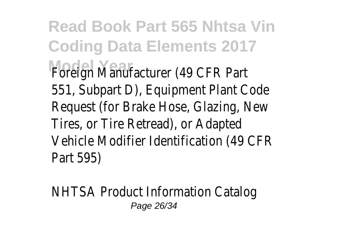**Read Book Part 565 Nhtsa Vin Coding Data Elements 2017 Model Year** Foreign Manufacturer (49 CFR Part 551, Subpart D), Equipment Plant Code Request (for Brake Hose, Glazing, New Tires, or Tire Retread), or Adapted Vehicle Modifier Identification (49 CFR Part 595)

NHTSA Product Information Catalog Page 26/34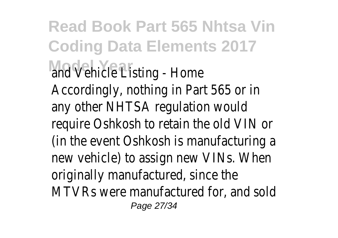**Read Book Part 565 Nhtsa Vin Coding Data Elements 2017** and Vehicle Listing - Home Accordingly, nothing in Part 565 or in any other NHTSA regulation would require Oshkosh to retain the old VIN or (in the event Oshkosh is manufacturing a new vehicle) to assign new VINs. When originally manufactured, since the MTVRs were manufactured for, and sold Page 27/34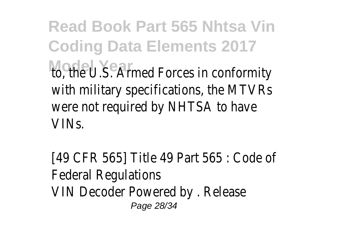**Read Book Part 565 Nhtsa Vin Coding Data Elements 2017** to, the U.S. Armed Forces in conformity with military specifications, the MTVRs were not required by NHTSA to have VINs.

[49 CFR 565] Title 49 Part 565 : Code of Federal Regulations VIN Decoder Powered by . Release Page 28/34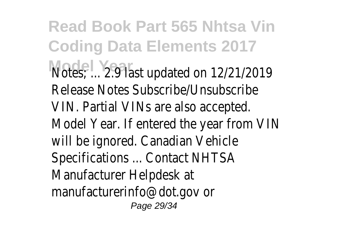**Read Book Part 565 Nhtsa Vin Coding Data Elements 2017 Model Year** Notes; ... 2.9 last updated on 12/21/2019 Release Notes Subscribe/Unsubscribe VIN. Partial VINs are also accepted. Model Year. If entered the year from VIN will be ignored. Canadian Vehicle Specifications ... Contact NHTSA Manufacturer Helpdesk at manufacturerinfo@dot.gov or Page 29/34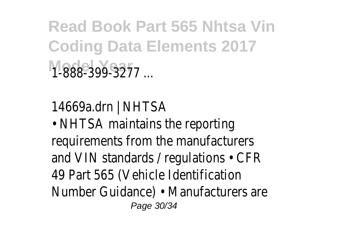**Read Book Part 565 Nhtsa Vin Coding Data Elements 2017** 1-888-399-3277 ar

14669a.drn | NHTSA

• NHTSA maintains the reporting requirements from the manufacturers and VIN standards / regulations • CFR 49 Part 565 (Vehicle Identification Number Guidance) • Manufacturers are Page 30/34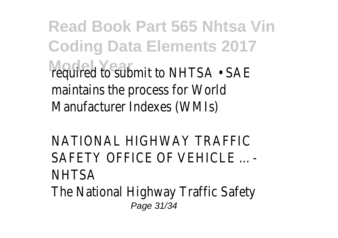**Read Book Part 565 Nhtsa Vin Coding Data Elements 2017 Model Trequired to submit to NHTSA • SAE** maintains the process for World Manufacturer Indexes (WMIs)

NATIONAL HIGHWAY TRAFFIC SAFFTY OFFICE OF VEHICLE NHTSA The National Highway Traffic Safety Page 31/34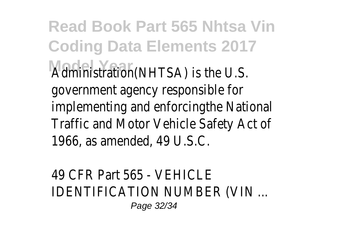**Read Book Part 565 Nhtsa Vin Coding Data Elements 2017 Model Year** Administration(NHTSA) is the U.S. government agency responsible for implementing and enforcingthe National Traffic and Motor Vehicle Safety Act of 1966, as amended, 49 U.S.C.

49 CFR Part 565 - VEHICLE IDENTIFICATION NUMBER (VIN ... Page 32/34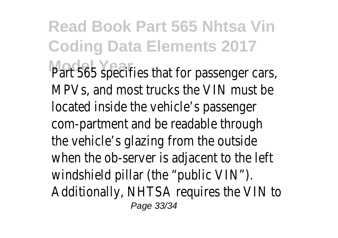**Read Book Part 565 Nhtsa Vin Coding Data Elements 2017** Part 565 specifies that for passenger cars, MPVs, and most trucks the VIN must be located inside the vehicle's passenger com-partment and be readable through the vehicle's glazing from the outside when the ob-server is adjacent to the left windshield pillar (the "public VIN"). Additionally, NHTSA requires the VIN to Page 33/34